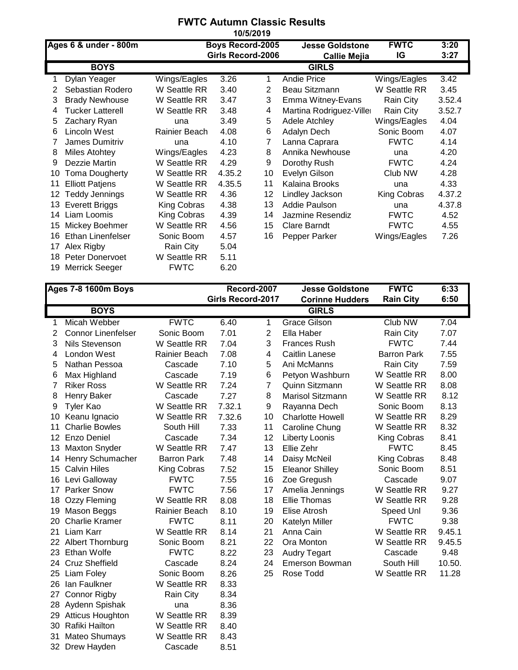## **FWTC Autumn Classic Results 10/5/2019**

|    | Ages 6 & under - 800m  |               | <b>Boys Record-2005</b> |    | <b>Jesse Goldstone</b>   | <b>FWTC</b>  | 3:20   |
|----|------------------------|---------------|-------------------------|----|--------------------------|--------------|--------|
|    |                        |               | Girls Record-2006       |    | <b>Callie Mejia</b>      | IG           | 3:27   |
|    | <b>BOYS</b>            |               |                         |    | <b>GIRLS</b>             |              |        |
| 1. | Dylan Yeager           | Wings/Eagles  | 3.26                    | 1  | <b>Andie Price</b>       | Wings/Eagles | 3.42   |
| 2  | Sebastian Rodero       | W Seattle RR  | 3.40                    | 2  | Beau Sitzmann            | W Seattle RR | 3.45   |
| 3  | <b>Brady Newhouse</b>  | W Seattle RR  | 3.47                    | 3  | Emma Witney-Evans        | Rain City    | 3.52.4 |
| 4  | Tucker Latterell       | W Seattle RR  | 3.48                    | 4  | Martina Rodriguez-Viller | Rain City    | 3.52.7 |
| 5  | Zachary Ryan           | una           | 3.49                    | 5  | <b>Adele Atchley</b>     | Wings/Eagles | 4.04   |
| 6  | Lincoln West           | Rainier Beach | 4.08                    | 6  | Adalyn Dech              | Sonic Boom   | 4.07   |
|    | James Dumitriv         | una           | 4.10                    | 7  | Lanna Caprara            | <b>FWTC</b>  | 4.14   |
| 8  | <b>Miles Atohtey</b>   | Wings/Eagles  | 4.23                    | 8  | Annika Newhouse          | una          | 4.20   |
| 9  | Dezzie Martin          | W Seattle RR  | 4.29                    | 9  | Dorothy Rush             | <b>FWTC</b>  | 4.24   |
| 10 | <b>Toma Dougherty</b>  | W Seattle RR  | 4.35.2                  | 10 | Evelyn Gilson            | Club NW      | 4.28   |
| 11 | <b>Elliott Patjens</b> | W Seattle RR  | 4.35.5                  | 11 | Kalaina Brooks           | una          | 4.33   |
| 12 | <b>Teddy Jennings</b>  | W Seattle RR  | 4.36                    | 12 | Lindley Jackson          | King Cobras  | 4.37.2 |
| 13 | Everett Briggs         | King Cobras   | 4.38                    | 13 | Addie Paulson            | una          | 4.37.8 |
| 14 | Liam Loomis            | King Cobras   | 4.39                    | 14 | Jazmine Resendiz         | <b>FWTC</b>  | 4.52   |
| 15 | Mickey Boehmer         | W Seattle RR  | 4.56                    | 15 | Clare Barndt             | <b>FWTC</b>  | 4.55   |
| 16 | Ethan Linenfelser      | Sonic Boom    | 4.57                    | 16 | Pepper Parker            | Wings/Eagles | 7.26   |
| 17 | Alex Rigby             | Rain City     | 5.04                    |    |                          |              |        |
| 18 | <b>Peter Donervoet</b> | W Seattle RR  | 5.11                    |    |                          |              |        |
| 19 | <b>Merrick Seeger</b>  | <b>FWTC</b>   | 6.20                    |    |                          |              |        |

|                 | <b>Ages 7-8 1600m Boys</b> |                    | Record-2007              |    | <b>Jesse Goldstone</b>  | <b>FWTC</b>        | 6:33   |
|-----------------|----------------------------|--------------------|--------------------------|----|-------------------------|--------------------|--------|
|                 |                            |                    | <b>Girls Record-2017</b> |    | <b>Corinne Hudders</b>  | <b>Rain City</b>   | 6:50   |
|                 | <b>BOYS</b>                |                    |                          |    | <b>GIRLS</b>            |                    |        |
| 1               | Micah Webber               | <b>FWTC</b>        | 6.40                     | 1  | <b>Grace Gilson</b>     | Club NW            | 7.04   |
| 2               | <b>Connor Linenfelser</b>  | Sonic Boom         | 7.01                     | 2  | Ella Haber              | Rain City          | 7.07   |
| 3               | Nils Stevenson             | W Seattle RR       | 7.04                     | 3  | <b>Frances Rush</b>     | <b>FWTC</b>        | 7.44   |
| 4               | London West                | Rainier Beach      | 7.08                     | 4  | <b>Caitlin Lanese</b>   | <b>Barron Park</b> | 7.55   |
| 5               | Nathan Pessoa              | Cascade            | 7.10                     | 5  | Ani McManns             | Rain City          | 7.59   |
| 6               | Max Highland               | Cascade            | 7.19                     | 6  | Petyon Washburn         | W Seattle RR       | 8.00   |
| 7               | <b>Riker Ross</b>          | W Seattle RR       | 7.24                     | 7  | Quinn Sitzmann          | W Seattle RR       | 8.08   |
| 8               | Henry Baker                | Cascade            | 7.27                     | 8  | Marisol Sitzmann        | W Seattle RR       | 8.12   |
| 9               | <b>Tyler Kao</b>           | W Seattle RR       | 7.32.1                   | 9  | Rayanna Dech            | Sonic Boom         | 8.13   |
| 10              | Keanu Ignacio              | W Seattle RR       | 7.32.6                   | 10 | <b>Charlotte Howell</b> | W Seattle RR       | 8.29   |
| 11              | <b>Charlie Bowles</b>      | South Hill         | 7.33                     | 11 | Caroline Chung          | W Seattle RR       | 8.32   |
| 12 <sup>°</sup> | Enzo Deniel                | Cascade            | 7.34                     | 12 | <b>Liberty Loonis</b>   | King Cobras        | 8.41   |
| 13              | <b>Maxton Snyder</b>       | W Seattle RR       | 7.47                     | 13 | Ellie Zehr              | <b>FWTC</b>        | 8.45   |
| 14              | Henry Schumacher           | <b>Barron Park</b> | 7.48                     | 14 | Daisy McNeil            | King Cobras        | 8.48   |
| 15              | <b>Calvin Hiles</b>        | King Cobras        | 7.52                     | 15 | <b>Eleanor Shilley</b>  | Sonic Boom         | 8.51   |
| 16              | Levi Galloway              | <b>FWTC</b>        | 7.55                     | 16 | Zoe Gregush             | Cascade            | 9.07   |
| 17              | <b>Parker Snow</b>         | <b>FWTC</b>        | 7.56                     | 17 | Amelia Jennings         | W Seattle RR       | 9.27   |
| 18              | Ozzy Fleming               | W Seattle RR       | 8.08                     | 18 | <b>Ellie Thomas</b>     | W Seattle RR       | 9.28   |
| 19              | Mason Beggs                | Rainier Beach      | 8.10                     | 19 | Elise Atrosh            | Speed Unl          | 9.36   |
| 20              | <b>Charlie Kramer</b>      | <b>FWTC</b>        | 8.11                     | 20 | Katelyn Miller          | <b>FWTC</b>        | 9.38   |
| 21              | Liam Karr                  | W Seattle RR       | 8.14                     | 21 | Anna Cain               | W Seattle RR       | 9.45.1 |
|                 | 22 Albert Thornburg        | Sonic Boom         | 8.21                     | 22 | Ora Monton              | W Seattle RR       | 9.45.5 |
|                 | 23 Ethan Wolfe             | <b>FWTC</b>        | 8.22                     | 23 | <b>Audry Tegart</b>     | Cascade            | 9.48   |
| 24              | <b>Cruz Sheffield</b>      | Cascade            | 8.24                     | 24 | <b>Emerson Bowman</b>   | South Hill         | 10.50. |
| 25              | Liam Foley                 | Sonic Boom         | 8.26                     | 25 | Rose Todd               | W Seattle RR       | 11.28  |
|                 | 26 Ian Faulkner            | W Seattle RR       | 8.33                     |    |                         |                    |        |
| 27              | <b>Connor Rigby</b>        | Rain City          | 8.34                     |    |                         |                    |        |
| 28              | Aydenn Spishak             | una                | 8.36                     |    |                         |                    |        |
| 29              | <b>Atticus Houghton</b>    | W Seattle RR       | 8.39                     |    |                         |                    |        |
| 30              | Rafiki Hailton             | W Seattle RR       | 8.40                     |    |                         |                    |        |
| 31              | Mateo Shumays              | W Seattle RR       | 8.43                     |    |                         |                    |        |
| 32              | Drew Hayden                | Cascade            | 8.51                     |    |                         |                    |        |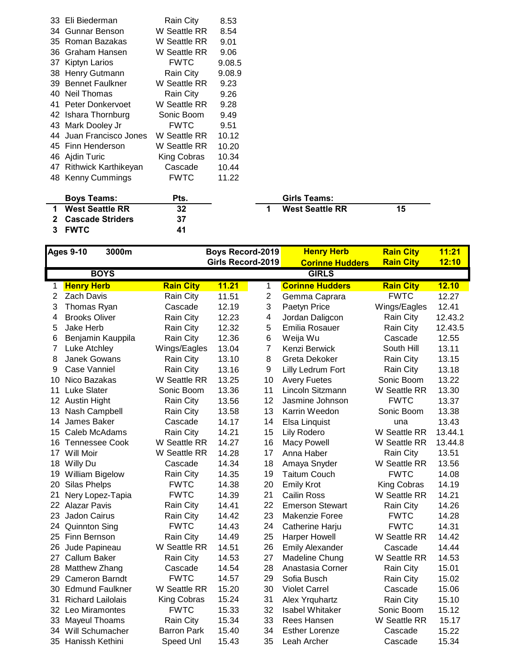|     | <b>Cascade Striders</b> | 37           |        |   |                        |    |
|-----|-------------------------|--------------|--------|---|------------------------|----|
| 1   | <b>West Seattle RR</b>  | 32           |        | 1 | <b>West Seattle RR</b> | 15 |
|     | <b>Boys Teams:</b>      | Pts.         |        |   | Girls Teams:           |    |
|     | 48 Kenny Cummings       | <b>FWTC</b>  | 11.22  |   |                        |    |
| 47  | Rithwick Karthikeyan    | Cascade      | 10.44  |   |                        |    |
|     | 46 Ajdin Turic          | King Cobras  | 10.34  |   |                        |    |
|     | 45 Finn Henderson       | W Seattle RR | 10.20  |   |                        |    |
|     | 44 Juan Francisco Jones | W Seattle RR | 10.12  |   |                        |    |
|     | 43 Mark Dooley Jr       | <b>FWTC</b>  | 9.51   |   |                        |    |
|     | 42 Ishara Thornburg     | Sonic Boom   | 9.49   |   |                        |    |
|     | 41 Peter Donkervoet     | W Seattle RR | 9.28   |   |                        |    |
| 40. | Neil Thomas             | Rain City    | 9.26   |   |                        |    |
|     | 39 Bennet Faulkner      | W Seattle RR | 9.23   |   |                        |    |
|     | 38 Henry Gutmann        | Rain City    | 9.08.9 |   |                        |    |
|     | 37 Kiptyn Larios        | <b>FWTC</b>  | 9.08.5 |   |                        |    |
|     | 36 Graham Hansen        | W Seattle RR | 9.06   |   |                        |    |
|     | 35 Roman Bazakas        | W Seattle RR | 9.01   |   |                        |    |
| 34  | Gunnar Benson           | W Seattle RR | 8.54   |   |                        |    |
|     | 33 Eli Biederman        | Rain City    | 8.53   |   |                        |    |

**FWTC 41**

|   | .טוווט ויטוווט         |    |
|---|------------------------|----|
| 1 | <b>West Seattle RR</b> | 15 |
|   |                        |    |
|   |                        |    |

|     | <b>Ages 9-10</b><br>3000m |                    | <b>Boys Record-2019</b> |                | <b>Henry Herb</b>      | <b>Rain City</b>   | 11:21   |
|-----|---------------------------|--------------------|-------------------------|----------------|------------------------|--------------------|---------|
|     |                           |                    | Girls Record-2019       |                | <b>Corinne Hudders</b> | <b>Rain City</b>   | 12:10   |
|     | <b>BOYS</b>               |                    |                         |                | <b>GIRLS</b>           |                    |         |
| 1   | <b>Henry Herb</b>         | <b>Rain City</b>   | 11.21                   | 1              | <b>Corinne Hudders</b> | <b>Rain City</b>   | 12.10   |
| 2   | <b>Zach Davis</b>         | Rain City          | 11.51                   | $\overline{c}$ | Gemma Caprara          | <b>FWTC</b>        | 12.27   |
| 3   | Thomas Ryan               | Cascade            | 12.19                   | 3              | Paetyn Price           | Wings/Eagles       | 12.41   |
| 4   | <b>Brooks Oliver</b>      | Rain City          | 12.23                   | 4              | Jordan Daligcon        | Rain City          | 12.43.2 |
| 5   | Jake Herb                 | Rain City          | 12.32                   | 5              | Emilia Rosauer         | Rain City          | 12.43.5 |
| 6   | Benjamin Kauppila         | Rain City          | 12.36                   | $6\phantom{1}$ | Weija Wu               | Cascade            | 12.55   |
| 7   | Luke Atchley              | Wings/Eagles       | 13.04                   | $\overline{7}$ | Kenzi Berwick          | South Hill         | 13.11   |
| 8   | Janek Gowans              | Rain City          | 13.10                   | 8              | Greta Dekoker          | Rain City          | 13.15   |
| 9   | Case Vanniel              | Rain City          | 13.16                   | 9              | Lilly Ledrum Fort      | Rain City          | 13.18   |
| 10  | Nico Bazakas              | W Seattle RR       | 13.25                   | 10             | <b>Avery Fuetes</b>    | Sonic Boom         | 13.22   |
| 11  | <b>Luke Slater</b>        | Sonic Boom         | 13.36                   | 11             | Lincoln Sitzmann       | W Seattle RR       | 13.30   |
| 12  | <b>Austin Hight</b>       | Rain City          | 13.56                   | 12             | Jasmine Johnson        | <b>FWTC</b>        | 13.37   |
| 13  | Nash Campbell             | Rain City          | 13.58                   | 13             | Karrin Weedon          | Sonic Boom         | 13.38   |
| 14  | James Baker               | Cascade            | 14.17                   | 14             | Elsa Linquist          | una                | 13.43   |
| 15  | Caleb McAdams             | Rain City          | 14.21                   | 15             | Lily Rodero            | W Seattle RR       | 13.44.1 |
| 16  | <b>Tennessee Cook</b>     | W Seattle RR       | 14.27                   | 16             | <b>Macy Powell</b>     | W Seattle RR       | 13.44.8 |
| 17  | Will Moir                 | W Seattle RR       | 14.28                   | 17             | Anna Haber             | Rain City          | 13.51   |
| 18  | Willy Du                  | Cascade            | 14.34                   | 18             | Amaya Snyder           | W Seattle RR       | 13.56   |
| 19  | <b>William Bigelow</b>    | Rain City          | 14.35                   | 19             | <b>Taitum Couch</b>    | <b>FWTC</b>        | 14.08   |
| 20  | Silas Phelps              | <b>FWTC</b>        | 14.38                   | 20             | <b>Emily Krot</b>      | <b>King Cobras</b> | 14.19   |
| 21  | Nery Lopez-Tapia          | <b>FWTC</b>        | 14.39                   | 21             | <b>Cailin Ross</b>     | W Seattle RR       | 14.21   |
| 22. | <b>Alazar Pavis</b>       | Rain City          | 14.41                   | 22             | <b>Emerson Stewart</b> | Rain City          | 14.26   |
| 23  | Jadon Cairus              | Rain City          | 14.42                   | 23             | <b>Makenzie Foree</b>  | <b>FWTC</b>        | 14.28   |
| 24  | <b>Quinnton Sing</b>      | <b>FWTC</b>        | 14.43                   | 24             | Catherine Harju        | <b>FWTC</b>        | 14.31   |
| 25  | Finn Bernson              | Rain City          | 14.49                   | 25             | <b>Harper Howell</b>   | W Seattle RR       | 14.42   |
| 26  | Jude Papineau             | W Seattle RR       | 14.51                   | 26             | <b>Emily Alexander</b> | Cascade            | 14.44   |
| 27  | <b>Callum Baker</b>       | Rain City          | 14.53                   | 27             | Madeline Chung         | W Seattle RR       | 14.53   |
| 28  | Matthew Zhang             | Cascade            | 14.54                   | 28             | Anastasia Corner       | Rain City          | 15.01   |
| 29  | <b>Cameron Barndt</b>     | <b>FWTC</b>        | 14.57                   | 29             | Sofia Busch            | Rain City          | 15.02   |
| 30  | <b>Edmund Faulkner</b>    | W Seattle RR       | 15.20                   | 30             | <b>Violet Carrel</b>   | Cascade            | 15.06   |
| 31  | <b>Richard Lailolais</b>  | King Cobras        | 15.24                   | 31             | Alex Yrguhartz         | Rain City          | 15.10   |
| 32  | Leo Miramontes            | <b>FWTC</b>        | 15.33                   | 32             | <b>Isabel Whitaker</b> | Sonic Boom         | 15.12   |
| 33  | Mayeul Thoams             | Rain City          | 15.34                   | 33             | Rees Hansen            | W Seattle RR       | 15.17   |
| 34  | Will Schumacher           | <b>Barron Park</b> | 15.40                   | 34             | <b>Esther Lorenze</b>  | Cascade            | 15.22   |
|     | 35 Hanissh Kethini        | Speed Unl          | 15.43                   | 35             | Leah Archer            | Cascade            | 15.34   |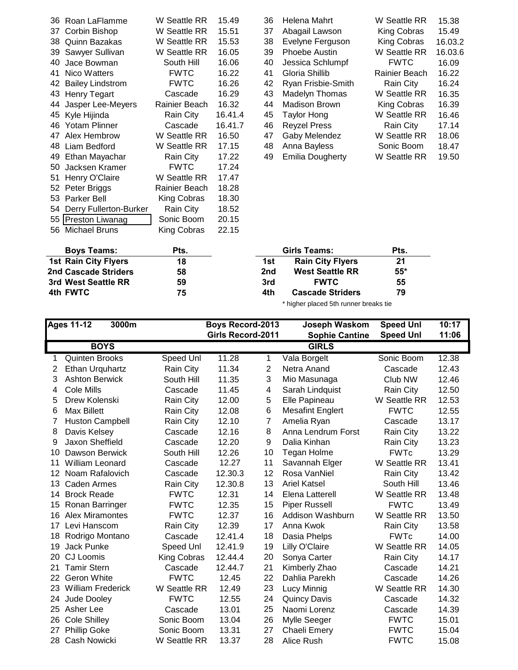|    | $A = 1$ Della Olfee Fierges | 40            |         | $\overline{1}$ $\overline{1}$ | DAIA OILLEILLANA        | O 4           |        |
|----|-----------------------------|---------------|---------|-------------------------------|-------------------------|---------------|--------|
|    | <b>Boys Teams:</b>          | Pts.          |         |                               | <b>Girls Teams:</b>     | Pts.          |        |
|    | 56 Michael Bruns            | King Cobras   | 22.15   |                               |                         |               |        |
|    | 55 Preston Liwanag          | Sonic Boom    | 20.15   |                               |                         |               |        |
|    | 54 Derry Fullerton-Burker   | Rain City     | 18.52   |                               |                         |               |        |
|    | 53 Parker Bell              | King Cobras   | 18.30   |                               |                         |               |        |
|    | 52 Peter Briggs             | Rainier Beach | 18.28   |                               |                         |               |        |
|    | 51 Henry O'Claire           | W Seattle RR  | 17.47   |                               |                         |               |        |
|    | 50 Jacksen Kramer           | <b>FWTC</b>   | 17.24   |                               |                         |               |        |
|    | 49 Ethan Mayachar           | Rain City     | 17.22   | 49                            | <b>Emilia Dougherty</b> | W Seattle RR  | 19.50  |
|    | 48 Liam Bedford             | W Seattle RR  | 17.15   | 48                            | Anna Bayless            | Sonic Boom    | 18.47  |
| 47 | Alex Hembrow                | W Seattle RR  | 16.50   | 47                            | Gaby Melendez           | W Seattle RR  | 18.06  |
|    | 46 Yotam Plinner            | Cascade       | 16.41.7 | 46                            | <b>Reyzel Press</b>     | Rain City     | 17.14  |
|    | 45 Kyle Hijinda             | Rain City     | 16.41.4 | 45                            | Taylor Hong             | W Seattle RR  | 16.46  |
|    | 44 Jasper Lee-Meyers        | Rainier Beach | 16.32   | 44                            | Madison Brown           | King Cobras   | 16.39  |
|    | 43 Henry Tegart             | Cascade       | 16.29   | 43                            | Madelyn Thomas          | W Seattle RR  | 16.35  |
| 42 | <b>Bailey Lindstrom</b>     | <b>FWTC</b>   | 16.26   | 42                            | Ryan Frisbie-Smith      | Rain City     | 16.24  |
|    | 41 Nico Watters             | <b>FWTC</b>   | 16.22   | 41                            | Gloria Shillib          | Rainier Beach | 16.22  |
| 40 | Jace Bowman                 | South Hill    | 16.06   | 40                            | Jessica Schlumpf        | <b>FWTC</b>   | 16.09  |
|    | 39 Sawyer Sullivan          | W Seattle RR  | 16.05   | 39                            | <b>Phoebe Austin</b>    | W Seattle RR  | 16.03. |
|    | 38 Quinn Bazakas            | W Seattle RR  | 15.53   | 38                            | Evelyne Ferguson        | King Cobras   | 16.03. |
| 37 | Corbin Bishop               | W Seattle RR  | 15.51   | 37                            | Abagail Lawson          | King Cobras   | 15.49  |
|    | 36 Roan LaFlamme            | W Seattle RR  | 15.49   | 36                            | Helena Mahrt            | W Seattle RR  | 15.38  |

| 36 Roan LaFlamme     | W Seattle RR  | 15.49   | 36 | Helena Mahrt            | W Seattle RR  | 15.38   |
|----------------------|---------------|---------|----|-------------------------|---------------|---------|
| 37 Corbin Bishop     | W Seattle RR  | 15.51   | 37 | Abagail Lawson          | King Cobras   | 15.49   |
| 38 Quinn Bazakas     | W Seattle RR  | 15.53   | 38 | Evelyne Ferguson        | King Cobras   | 16.03.2 |
| 39 Sawyer Sullivan   | W Seattle RR  | 16.05   | 39 | Phoebe Austin           | W Seattle RR  | 16.03.6 |
| 40 Jace Bowman       | South Hill    | 16.06   | 40 | Jessica Schlumpf        | <b>FWTC</b>   | 16.09   |
| 41 Nico Watters      | <b>FWTC</b>   | 16.22   | 41 | Gloria Shillib          | Rainier Beach | 16.22   |
| 42 Bailey Lindstrom  | <b>FWTC</b>   | 16.26   | 42 | Ryan Frisbie-Smith      | Rain City     | 16.24   |
| 43 Henry Tegart      | Cascade       | 16.29   | 43 | Madelyn Thomas          | W Seattle RR  | 16.35   |
| 44 Jasper Lee-Meyers | Rainier Beach | 16.32   | 44 | <b>Madison Brown</b>    | King Cobras   | 16.39   |
| 45 Kyle Hijinda      | Rain City     | 16.41.4 | 45 | Taylor Hong             | W Seattle RR  | 16.46   |
| 46 Yotam Plinner     | Cascade       | 16.41.7 | 46 | <b>Reyzel Press</b>     | Rain City     | 17.14   |
| 47 Alex Hembrow      | W Seattle RR  | 16.50   | 47 | Gaby Melendez           | W Seattle RR  | 18.06   |
| 48 Liam Bedford      | W Seattle RR  | 17.15   | 48 | Anna Bayless            | Sonic Boom    | 18.47   |
| 49 Ethan Mayachar    | Rain City     | 17.22   | 49 | <b>Emilia Dougherty</b> | W Seattle RR  | 19.50   |
|                      |               |         |    |                         |               |         |

| <b>Boys Teams:</b>          | Pts. |     | Girls Teams:            | Pts.  |  |
|-----------------------------|------|-----|-------------------------|-------|--|
| <b>1st Rain City Flyers</b> | 18   | 1st | <b>Rain City Flyers</b> | 21    |  |
| 2nd Cascade Striders        | 58   | 2nd | <b>West Seattle RR</b>  | $55*$ |  |
| 3rd West Seattle RR         | 59   | 3rd | <b>FWTC</b>             | 55    |  |
| 4th FWTC                    | 75   | 4th | <b>Cascade Striders</b> | 79    |  |

\* higher placed 5th runner breaks tie

|    | <b>Ages 11-12</b>        | 3000m        |         | Boys Record-2013         | Joseph Waskom           | <b>Speed Unl</b> | 10:17 |
|----|--------------------------|--------------|---------|--------------------------|-------------------------|------------------|-------|
|    |                          |              |         | <b>Girls Record-2011</b> | <b>Sophie Cantine</b>   | <b>Speed Unl</b> | 11:06 |
|    | <b>BOYS</b>              |              |         |                          | <b>GIRLS</b>            |                  |       |
| 1  | <b>Quinten Brooks</b>    | Speed Unl    | 11.28   | $\mathbf{1}$             | Vala Borgelt            | Sonic Boom       | 12.38 |
| 2  | Ethan Urquhartz          | Rain City    | 11.34   | $\overline{2}$           | Netra Anand             | Cascade          | 12.43 |
| 3  | <b>Ashton Berwick</b>    | South Hill   | 11.35   | 3                        | Mio Masunaga            | Club NW          | 12.46 |
| 4  | Cole Mills               | Cascade      | 11.45   | 4                        | Sarah Lindquist         | Rain City        | 12.50 |
| 5  | Drew Kolenski            | Rain City    | 12.00   | 5                        | Elle Papineau           | W Seattle RR     | 12.53 |
| 6  | Max Billett              | Rain City    | 12.08   | 6                        | <b>Mesafint Englert</b> | <b>FWTC</b>      | 12.55 |
| 7  | <b>Huston Campbell</b>   | Rain City    | 12.10   | 7                        | Amelia Ryan             | Cascade          | 13.17 |
| 8  | Davis Kelsey             | Cascade      | 12.16   | 8                        | Anna Lendrum Forst      | Rain City        | 13.22 |
| 9  | Jaxon Sheffield          | Cascade      | 12.20   | 9                        | Dalia Kinhan            | Rain City        | 13.23 |
| 10 | Dawson Berwick           | South Hill   | 12.26   | 10                       | <b>Tegan Holme</b>      | <b>FWTc</b>      | 13.29 |
| 11 | <b>William Leonard</b>   | Cascade      | 12.27   | 11                       | Savannah Elger          | W Seattle RR     | 13.41 |
| 12 | Noam Rafalovich          | Cascade      | 12.30.3 | 12                       | Rosa VanNiel            | Rain City        | 13.42 |
| 13 | Caden Armes              | Rain City    | 12.30.8 | 13                       | <b>Ariel Katsel</b>     | South Hill       | 13.46 |
| 14 | <b>Brock Reade</b>       | <b>FWTC</b>  | 12.31   | 14                       | Elena Latterell         | W Seattle RR     | 13.48 |
| 15 | Ronan Barringer          | <b>FWTC</b>  | 12.35   | 15                       | <b>Piper Russell</b>    | <b>FWTC</b>      | 13.49 |
| 16 | <b>Alex Miramontes</b>   | <b>FWTC</b>  | 12.37   | 16                       | Addison Washburn        | W Seattle RR     | 13.50 |
| 17 | Levi Hanscom             | Rain City    | 12.39   | 17                       | Anna Kwok               | Rain City        | 13.58 |
| 18 | Rodrigo Montano          | Cascade      | 12.41.4 | 18                       | Dasia Phelps            | <b>FWTc</b>      | 14.00 |
| 19 | <b>Jack Punke</b>        | Speed Unl    | 12.41.9 | 19                       | Lilly O'Claire          | W Seattle RR     | 14.05 |
| 20 | CJ Loomis                | King Cobras  | 12.44.4 | 20                       | Sonya Carter            | Rain City        | 14.17 |
| 21 | <b>Tamir Stern</b>       | Cascade      | 12.44.7 | 21                       | Kimberly Zhao           | Cascade          | 14.21 |
| 22 | Geron White              | <b>FWTC</b>  | 12.45   | 22                       | Dahlia Parekh           | Cascade          | 14.26 |
| 23 | <b>William Frederick</b> | W Seattle RR | 12.49   | 23                       | Lucy Minnig             | W Seattle RR     | 14.30 |
| 24 | Jude Dooley              | <b>FWTC</b>  | 12.55   | 24                       | <b>Quincy Davis</b>     | Cascade          | 14.32 |
| 25 | Asher Lee                | Cascade      | 13.01   | 25                       | Naomi Lorenz            | Cascade          | 14.39 |
| 26 | <b>Cole Shilley</b>      | Sonic Boom   | 13.04   | 26                       | Mylle Seeger            | <b>FWTC</b>      | 15.01 |
| 27 | <b>Phillip Goke</b>      | Sonic Boom   | 13.31   | 27                       | Chaeli Emery            | <b>FWTC</b>      | 15.04 |
| 28 | Cash Nowicki             | W Seattle RR | 13.37   | 28                       | Alice Rush              | <b>FWTC</b>      | 15.08 |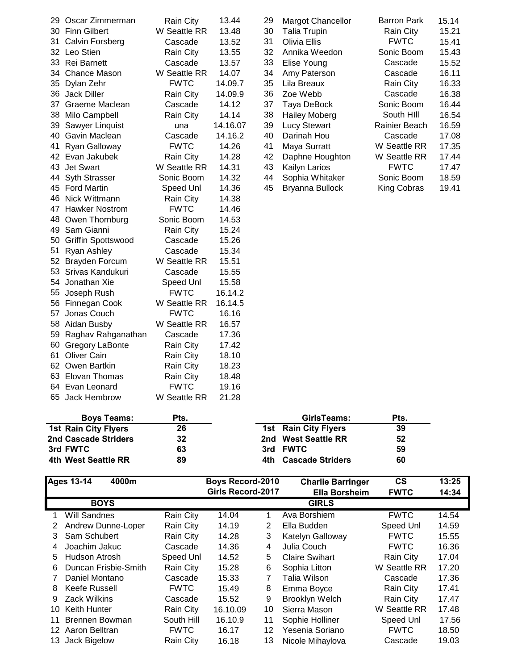| 29. | Oscar Zimmerman           | <b>Rain City</b> | 13.44    | 29 | <b>Margot Chancellor</b> | <b>Barron Park</b> | 15.14 |
|-----|---------------------------|------------------|----------|----|--------------------------|--------------------|-------|
|     | 30 Finn Gilbert           | W Seattle RR     | 13.48    | 30 | <b>Talia Trupin</b>      | Rain City          | 15.21 |
| 31  | <b>Calvin Forsberg</b>    | Cascade          | 13.52    | 31 | Olivia Ellis             | <b>FWTC</b>        | 15.41 |
|     | 32 Leo Stien              | Rain City        | 13.55    | 32 | Annika Weedon            | Sonic Boom         | 15.43 |
|     | 33 Rei Barnett            | Cascade          | 13.57    | 33 | Elise Young              | Cascade            | 15.52 |
|     | 34 Chance Mason           | W Seattle RR     | 14.07    | 34 | Amy Paterson             | Cascade            | 16.11 |
|     | 35 Dylan Zehr             | <b>FWTC</b>      | 14.09.7  | 35 | Lila Breaux              | Rain City          | 16.33 |
|     | 36 Jack Diller            | Rain City        | 14.09.9  | 36 | Zoe Webb                 | Cascade            | 16.38 |
| 37  | Graeme Maclean            | Cascade          | 14.12    | 37 | Taya DeBock              | Sonic Boom         | 16.44 |
| 38  | Milo Campbell             | Rain City        | 14.14    | 38 | <b>Hailey Moberg</b>     | South HIII         | 16.54 |
| 39  | Sawyer Linquist           | una              | 14.16.07 | 39 | <b>Lucy Stewart</b>      | Rainier Beach      | 16.59 |
|     | 40 Gavin Maclean          | Cascade          | 14.16.2  | 40 | Darinah Hou              | Cascade            | 17.08 |
| 41  | Ryan Galloway             | <b>FWTC</b>      | 14.26    | 41 | Maya Surratt             | W Seattle RR       | 17.35 |
|     | 42 Evan Jakubek           | Rain City        | 14.28    | 42 | Daphne Houghton          | W Seattle RR       | 17.44 |
|     | 43 Jet Swart              | W Seattle RR     | 14.31    | 43 | Kailyn Larios            | <b>FWTC</b>        | 17.47 |
| 44  | <b>Syth Strasser</b>      | Sonic Boom       | 14.32    | 44 | Sophia Whitaker          | Sonic Boom         | 18.59 |
|     | 45 Ford Martin            | Speed Unl        | 14.36    | 45 | Bryanna Bullock          | King Cobras        | 19.41 |
|     | 46 Nick Wittmann          | Rain City        | 14.38    |    |                          |                    |       |
| 47  | <b>Hawker Nostrom</b>     | <b>FWTC</b>      | 14.46    |    |                          |                    |       |
| 48  | Owen Thornburg            | Sonic Boom       | 14.53    |    |                          |                    |       |
| 49  | Sam Gianni                | Rain City        | 15.24    |    |                          |                    |       |
| 50  | <b>Griffin Spottswood</b> | Cascade          | 15.26    |    |                          |                    |       |
| 51  | Ryan Ashley               | Cascade          | 15.34    |    |                          |                    |       |
|     | 52 Brayden Forcum         | W Seattle RR     | 15.51    |    |                          |                    |       |
| 53  | Srivas Kandukuri          | Cascade          | 15.55    |    |                          |                    |       |
|     | 54 Jonathan Xie           | Speed Unl        | 15.58    |    |                          |                    |       |
| 55  | Joseph Rush               | <b>FWTC</b>      | 16.14.2  |    |                          |                    |       |
|     | 56 Finnegan Cook          | W Seattle RR     | 16.14.5  |    |                          |                    |       |
| 57  | Jonas Couch               | <b>FWTC</b>      | 16.16    |    |                          |                    |       |
|     | 58 Aidan Busby            | W Seattle RR     | 16.57    |    |                          |                    |       |
|     | 59 Raghav Rahganathan     | Cascade          | 17.36    |    |                          |                    |       |
| 60  | <b>Gregory LaBonte</b>    | Rain City        | 17.42    |    |                          |                    |       |
| 61  | <b>Oliver Cain</b>        | Rain City        | 18.10    |    |                          |                    |       |
|     | 62 Owen Bartkin           | Rain City        | 18.23    |    |                          |                    |       |
|     | 63 Elovan Thomas          | Rain City        | 18.48    |    |                          |                    |       |
|     | 64 Evan Leonard           | <b>FWTC</b>      | 19.16    |    |                          |                    |       |
| 65  | Jack Hembrow              | W Seattle RR     | 21.28    |    |                          |                    |       |
|     |                           |                  |          |    |                          |                    |       |

| 29 Oscar Zimmerman | <b>Rain City</b> | 13.44    | 29 | <b>Margot Chancellor</b> | <b>Barron Park</b> | 15.14 |
|--------------------|------------------|----------|----|--------------------------|--------------------|-------|
| 30 Finn Gilbert    | W Seattle RR     | 13.48    | 30 | <b>Talia Trupin</b>      | Rain City          | 15.21 |
| 31 Calvin Forsberg | Cascade          | 13.52    | 31 | Olivia Ellis             | <b>FWTC</b>        | 15.41 |
| 32 Leo Stien       | Rain City        | 13.55    | 32 | Annika Weedon            | Sonic Boom         | 15.43 |
| 33 Rei Barnett     | Cascade          | 13.57    | 33 | Elise Young              | Cascade            | 15.52 |
| 34 Chance Mason    | W Seattle RR     | 14.07    | 34 | Amy Paterson             | Cascade            | 16.11 |
| 35 Dylan Zehr      | <b>FWTC</b>      | 14.09.7  | 35 | Lila Breaux              | Rain City          | 16.33 |
| 36 Jack Diller     | Rain City        | 14.09.9  | 36 | Zoe Webb                 | Cascade            | 16.38 |
| 37 Graeme Maclean  | Cascade          | 14.12    | 37 | Taya DeBock              | Sonic Boom         | 16.44 |
| 38 Milo Campbell   | Rain City        | 14.14    | 38 | <b>Hailey Moberg</b>     | South HIII         | 16.54 |
| 39 Sawyer Linguist | una              | 14.16.07 | 39 | <b>Lucy Stewart</b>      | Rainier Beach      | 16.59 |
| 40 Gavin Maclean   | Cascade          | 14.16.2  | 40 | Darinah Hou              | Cascade            | 17.08 |
| 41 Ryan Galloway   | <b>FWTC</b>      | 14.26    | 41 | Maya Surratt             | W Seattle RR       | 17.35 |
| 42 Evan Jakubek    | Rain City        | 14.28    | 42 | Daphne Houghton          | W Seattle RR       | 17.44 |
| 43 Jet Swart       | W Seattle RR     | 14.31    | 43 | Kailyn Larios            | <b>FWTC</b>        | 17.47 |
| 44 Syth Strasser   | Sonic Boom       | 14.32    | 44 | Sophia Whitaker          | Sonic Boom         | 18.59 |
| 45 Ford Martin     | Speed Unl        | 14.36    | 45 | Bryanna Bullock          | King Cobras        | 19.41 |
|                    |                  |          |    |                          |                    |       |

| <b>Boys Teams:</b>          | Pts. | GirlsTeams:          | Pts. |
|-----------------------------|------|----------------------|------|
| <b>1st Rain City Flyers</b> | 26   | 1st Rain City Flyers | 39   |
| 2nd Cascade Striders        | 32   | 2nd West Seattle RR  | 52   |
| 3rd FWTC                    | 63   | 3rd FWTC             | 59   |
| 4th West Seattle RR         | 89   | 4th Cascade Striders | 60   |

|    | <b>Ages 13-14</b><br>4000m |             | <b>Boys Record-2010</b>  |    | <b>Charlie Barringer</b> | $\mathsf{cs}$ | 13:25 |
|----|----------------------------|-------------|--------------------------|----|--------------------------|---------------|-------|
|    |                            |             | <b>Girls Record-2017</b> |    | <b>Ella Borsheim</b>     | <b>FWTC</b>   | 14:34 |
|    | <b>BOYS</b>                |             |                          |    | <b>GIRLS</b>             |               |       |
|    | <b>Will Sandnes</b>        | Rain City   | 14.04                    | 1  | Ava Borshiem             | <b>FWTC</b>   | 14.54 |
| 2  | Andrew Dunne-Loper         | Rain City   | 14.19                    | 2  | Ella Budden              | Speed Unl     | 14.59 |
| 3  | Sam Schubert               | Rain City   | 14.28                    | 3  | Katelyn Galloway         | <b>FWTC</b>   | 15.55 |
| 4  | Joachim Jakuc              | Cascade     | 14.36                    | 4  | Julia Couch              | <b>FWTC</b>   | 16.36 |
| 5  | Hudson Atrosh              | Speed Unl   | 14.52                    | 5  | <b>Claire Swihart</b>    | Rain City     | 17.04 |
| 6  | Duncan Frisbie-Smith       | Rain City   | 15.28                    | 6  | Sophia Litton            | W Seattle RR  | 17.20 |
|    | Daniel Montano             | Cascade     | 15.33                    |    | Talia Wilson             | Cascade       | 17.36 |
| 8  | Keefe Russell              | <b>FWTC</b> | 15.49                    | 8  | Emma Boyce               | Rain City     | 17.41 |
| 9  | <b>Zack Wilkins</b>        | Cascade     | 15.52                    | 9  | <b>Brooklyn Welch</b>    | Rain City     | 17.47 |
| 10 | Keith Hunter               | Rain City   | 16.10.09                 | 10 | Sierra Mason             | W Seattle RR  | 17.48 |
| 11 | Brennen Bowman             | South Hill  | 16.10.9                  | 11 | Sophie Holliner          | Speed Unl     | 17.56 |
|    | 12 Aaron Belltran          | <b>FWTC</b> | 16.17                    | 12 | Yesenia Soriano          | <b>FWTC</b>   | 18.50 |
| 13 | Jack Bigelow               | Rain City   | 16.18                    | 13 | Nicole Mihaylova         | Cascade       | 19.03 |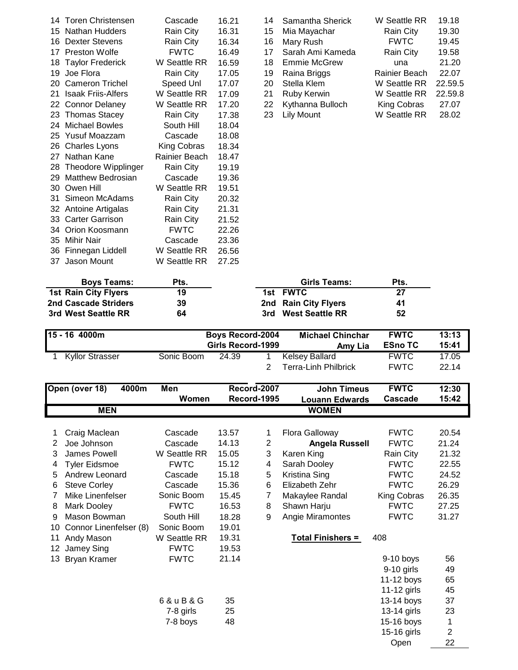| 14 | Toren Christensen         | Cascade       | 16.21 |
|----|---------------------------|---------------|-------|
| 15 | Nathan Hudders            | Rain City     | 16.31 |
| 16 | Dexter Stevens            | Rain City     | 16.34 |
| 17 | <b>Preston Wolfe</b>      | <b>FWTC</b>   | 16.49 |
| 18 | <b>Taylor Frederick</b>   | W Seattle RR  | 16.59 |
| 19 | Joe Flora                 | Rain City     | 17.05 |
| 20 | <b>Cameron Trichel</b>    | Speed Unl     | 17.07 |
| 21 | <b>Isaak Friis-Alfers</b> | W Seattle RR  | 17.09 |
| 22 | <b>Connor Delaney</b>     | W Seattle RR  | 17.20 |
| 23 | <b>Thomas Stacey</b>      | Rain City     | 17.38 |
| 24 | <b>Michael Bowles</b>     | South Hill    | 18.04 |
| 25 | Yusuf Moazzam             | Cascade       | 18.08 |
| 26 | <b>Charles Lyons</b>      | King Cobras   | 18.34 |
| 27 | Nathan Kane               | Rainier Beach | 18.47 |
| 28 | Theodore Wipplinger       | Rain City     | 19.19 |
| 29 | <b>Matthew Bedrosian</b>  | Cascade       | 19.36 |
| 30 | Owen Hill                 | W Seattle RR  | 19.51 |
| 31 | Simeon McAdams            | Rain City     | 20.32 |
| 32 | Antoine Artigalas         | Rain City     | 21.31 |
| 33 | <b>Carter Garrison</b>    | Rain City     | 21.52 |
| 34 | Orion Koosmann            | <b>FWTC</b>   | 22.26 |
| 35 | Mihir Nair                | Cascade       | 23.36 |
| 36 | Finnegan Liddell          | W Seattle RR  | 26.56 |
| 37 | Jason Mount               | W Seattle RR  | 27.25 |
|    |                           |               |       |

| 14 Toren Christensen  | Cascade      | 16.21 |    | 14 Samantha Sherick | W Seattle RR  | 19.18   |
|-----------------------|--------------|-------|----|---------------------|---------------|---------|
| 15 Nathan Hudders     | Rain City    | 16.31 |    | 15 Mia Mayachar     | Rain City     | 19.30   |
| 16 Dexter Stevens     | Rain City    | 16.34 |    | 16 Mary Rush        | <b>FWTC</b>   | 19.45   |
| 17 Preston Wolfe      | <b>FWTC</b>  | 16.49 | 17 | Sarah Ami Kameda    | Rain City     | 19.58   |
| 18 Taylor Frederick   | W Seattle RR | 16.59 |    | 18 Emmie McGrew     | una           | 21.20   |
| 19 Joe Flora          | Rain City    | 17.05 |    | 19 Raina Briggs     | Rainier Beach | 22.07   |
| 20 Cameron Trichel    | Speed Unl    | 17.07 | 20 | Stella Klem         | W Seattle RR  | 22.59.5 |
| 21 Isaak Friis-Alfers | W Seattle RR | 17.09 | 21 | Ruby Kerwin         | W Seattle RR  | 22.59.8 |
| 22 Connor Delaney     | W Seattle RR | 17.20 |    | 22 Kythanna Bulloch | King Cobras   | 27.07   |
| 23 Thomas Stacey      | Rain City    | 17.38 |    | 23 Lily Mount       | W Seattle RR  | 28.02   |
|                       |              |       |    |                     |               |         |

| <b>Boys Teams:</b>          | Pts. | Girls Teams:         | Pts. |  |
|-----------------------------|------|----------------------|------|--|
| <b>1st Rain City Flyers</b> | 19   | 1st FWTC             | 27   |  |
| 2nd Cascade Striders        | 39   | 2nd Rain City Flyers | 41   |  |
| 3rd West Seattle RR         | 64   | 3rd West Seattle RR  | 52   |  |

| l15 - 16 4000m  |            | <b>Boys Record-2004</b><br>Girls Record-1999 | <b>Michael Chinchar</b><br>Amy Lia            | <b>FWTC</b><br><b>ESno TC</b> | 13:13<br>15:41 |
|-----------------|------------|----------------------------------------------|-----------------------------------------------|-------------------------------|----------------|
| Kyllor Strasser | Sonic Boom | 24.39                                        | Kelsev Ballard<br><b>Terra-Linh Philbrick</b> | <b>FWTC</b><br><b>FWTC</b>    | 17.05<br>22.14 |

| 4000m<br>Open (over 18) |                        | Men          | Record-2007 |                | <b>John Timeus</b>       | <b>FWTC</b>   | 12:30          |
|-------------------------|------------------------|--------------|-------------|----------------|--------------------------|---------------|----------------|
|                         |                        | Women        |             | Record-1995    | <b>Louann Edwards</b>    | Cascade       | 15:42          |
| <b>MEN</b>              |                        |              |             |                | <b>WOMEN</b>             |               |                |
|                         |                        |              |             |                |                          |               |                |
|                         | Craig Maclean          | Cascade      | 13.57       | 1              | Flora Galloway           | <b>FWTC</b>   | 20.54          |
| 2                       | Joe Johnson            | Cascade      | 14.13       | $\overline{c}$ | <b>Angela Russell</b>    | <b>FWTC</b>   | 21.24          |
| 3                       | James Powell           | W Seattle RR | 15.05       | 3              | Karen King               | Rain City     | 21.32          |
| 4                       | <b>Tyler Eidsmoe</b>   | <b>FWTC</b>  | 15.12       | 4              | Sarah Dooley             | <b>FWTC</b>   | 22.55          |
| 5                       | Andrew Leonard         | Cascade      | 15.18       | 5              | Kristina Sing            | <b>FWTC</b>   | 24.52          |
| 6                       | <b>Steve Corley</b>    | Cascade      | 15.36       | 6              | Elizabeth Zehr           | <b>FWTC</b>   | 26.29          |
| 7                       | Mike Linenfelser       | Sonic Boom   | 15.45       | 7              | Makaylee Randal          | King Cobras   | 26.35          |
| 8                       | Mark Dooley            | <b>FWTC</b>  | 16.53       | 8              | Shawn Harju              | <b>FWTC</b>   | 27.25          |
| 9                       | Mason Bowman           | South Hill   | 18.28       | 9              | Angie Miramontes         | <b>FWTC</b>   | 31.27          |
| 10                      | Connor Linenfelser (8) | Sonic Boom   | 19.01       |                |                          |               |                |
| 11                      | Andy Mason             | W Seattle RR | 19.31       |                | <b>Total Finishers =</b> | 408           |                |
| 12                      | Jamey Sing             | <b>FWTC</b>  | 19.53       |                |                          |               |                |
| 13                      | Bryan Kramer           | <b>FWTC</b>  | 21.14       |                |                          | $9-10$ boys   | 56             |
|                         |                        |              |             |                |                          | $9-10$ girls  | 49             |
|                         |                        |              |             |                |                          | 11-12 boys    | 65             |
|                         |                        |              |             |                |                          | $11-12$ girls | 45             |
|                         |                        | 6 & u B & G  | 35          |                |                          | 13-14 boys    | 37             |
|                         |                        | 7-8 girls    | 25          |                |                          | 13-14 girls   | 23             |
|                         |                        | 7-8 boys     | 48          |                |                          | 15-16 boys    | 1              |
|                         |                        |              |             |                |                          | 15-16 girls   | $\overline{2}$ |
|                         |                        |              |             |                |                          | Open          | 22             |